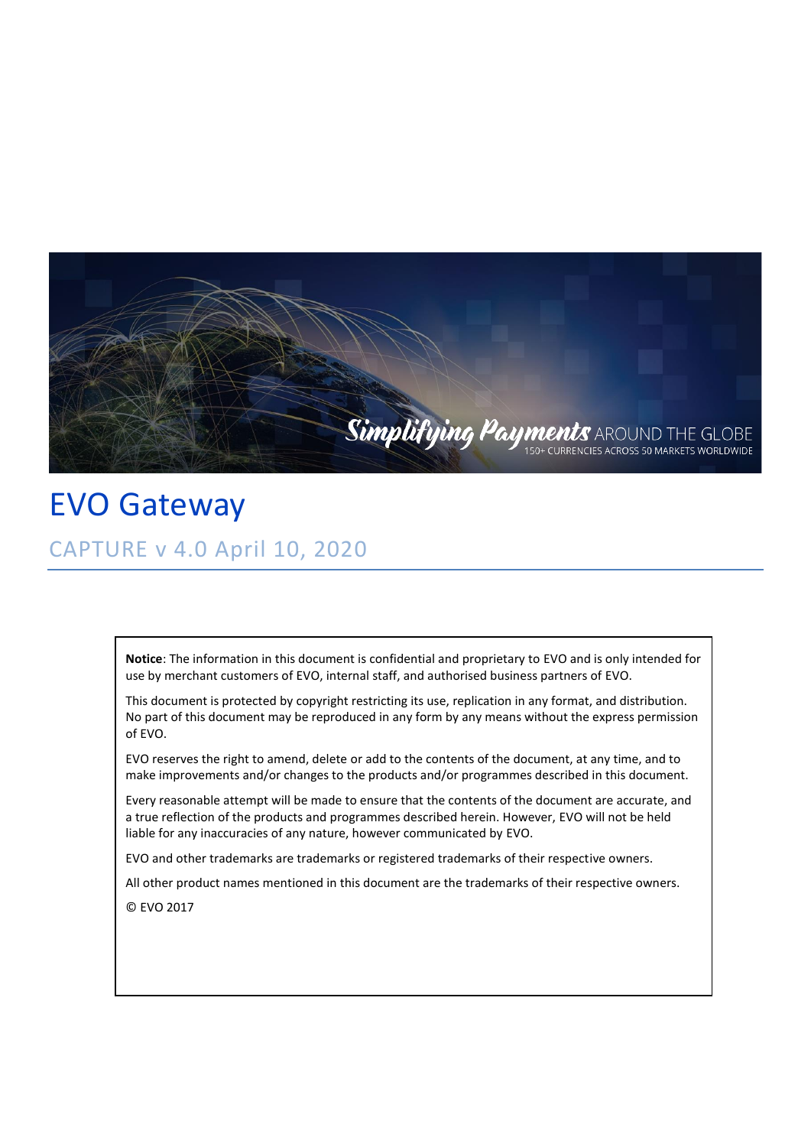

EVO Gateway CAPTURE v 4.0 April 10, 2020

> **Notice**: The information in this document is confidential and proprietary to EVO and is only intended for use by merchant customers of EVO, internal staff, and authorised business partners of EVO.

> This document is protected by copyright restricting its use, replication in any format, and distribution. No part of this document may be reproduced in any form by any means without the express permission of EVO.

EVO reserves the right to amend, delete or add to the contents of the document, at any time, and to make improvements and/or changes to the products and/or programmes described in this document.

Every reasonable attempt will be made to ensure that the contents of the document are accurate, and a true reflection of the products and programmes described herein. However, EVO will not be held liable for any inaccuracies of any nature, however communicated by EVO.

EVO and other trademarks are trademarks or registered trademarks of their respective owners.

All other product names mentioned in this document are the trademarks of their respective owners.

© EVO 2017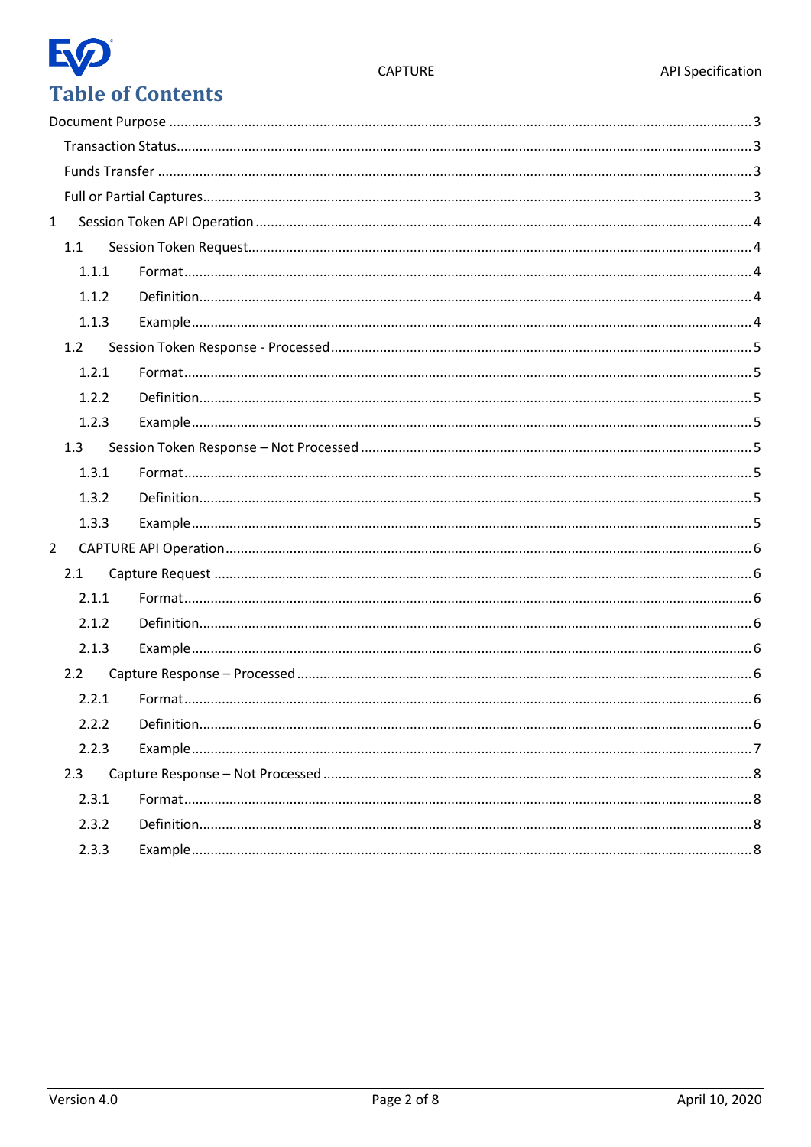# EQ **Table of Contents**

| $\mathbf{1}$ |       |  |
|--------------|-------|--|
|              | 1.1   |  |
|              | 1.1.1 |  |
|              | 1.1.2 |  |
|              | 1.1.3 |  |
|              | 1.2   |  |
|              | 1.2.1 |  |
|              | 1.2.2 |  |
|              | 1.2.3 |  |
|              | 1.3   |  |
|              | 1.3.1 |  |
|              | 1.3.2 |  |
|              | 1.3.3 |  |
| $2^{\circ}$  |       |  |
|              | 2.1   |  |
|              | 2.1.1 |  |
|              | 2.1.2 |  |
|              | 2.1.3 |  |
|              | 2.2   |  |
|              | 2.2.1 |  |
|              | 2.2.2 |  |
|              | 2.2.3 |  |
|              | 2.3   |  |
|              | 2.3.1 |  |
|              | 2.3.2 |  |
|              | 2.3.3 |  |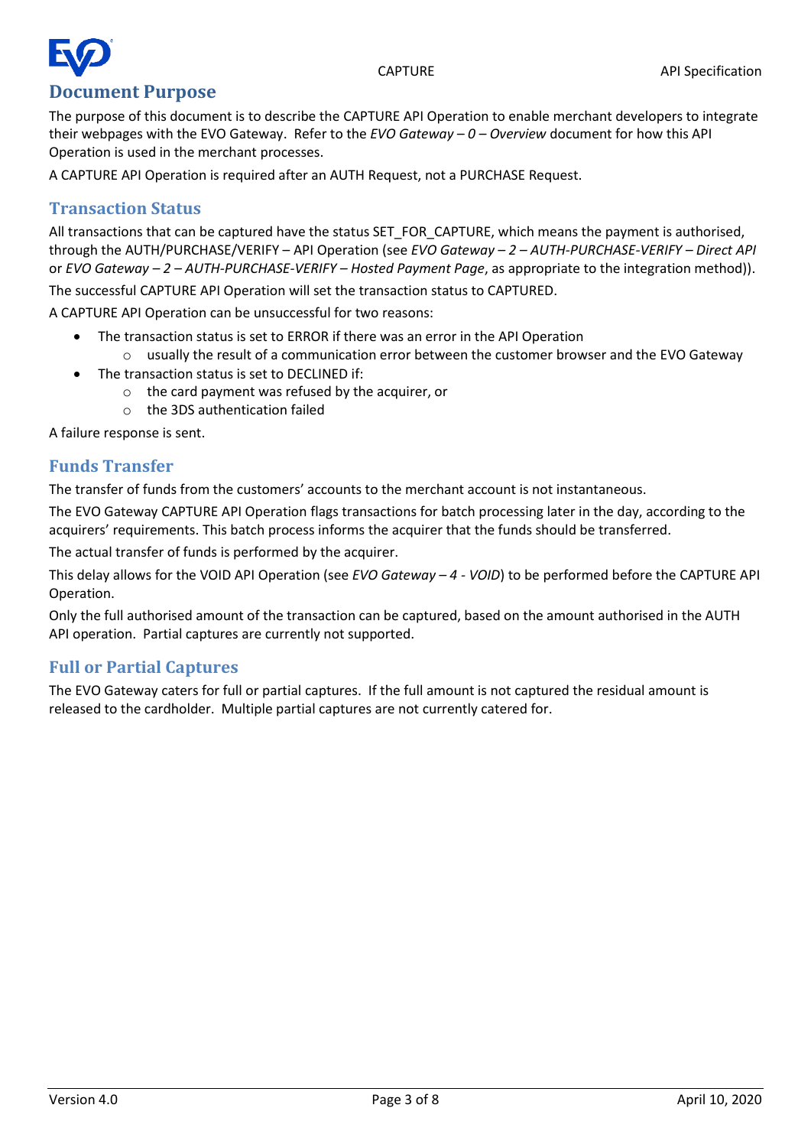# **Document Purpose**

<span id="page-2-0"></span>The purpose of this document is to describe the CAPTURE API Operation to enable merchant developers to integrate their webpages with the EVO Gateway. Refer to the *EVO Gateway – 0 – Overview* document for how this API Operation is used in the merchant processes.

A CAPTURE API Operation is required after an AUTH Request, not a PURCHASE Request.

#### <span id="page-2-1"></span>**Transaction Status**

All transactions that can be captured have the status SET FOR CAPTURE, which means the payment is authorised, through the AUTH/PURCHASE/VERIFY – API Operation (see *EVO Gateway – 2 – AUTH-PURCHASE-VERIFY – Direct API* or *EVO Gateway – 2 – AUTH-PURCHASE-VERIFY – Hosted Payment Page*, as appropriate to the integration method)).

The successful CAPTURE API Operation will set the transaction status to CAPTURED.

A CAPTURE API Operation can be unsuccessful for two reasons:

- The transaction status is set to ERROR if there was an error in the API Operation
- $\circ$  usually the result of a communication error between the customer browser and the EVO Gateway
- The transaction status is set to DECLINED if:
	- o the card payment was refused by the acquirer, or
	- o the 3DS authentication failed

A failure response is sent.

#### <span id="page-2-2"></span>**Funds Transfer**

The transfer of funds from the customers' accounts to the merchant account is not instantaneous.

The EVO Gateway CAPTURE API Operation flags transactions for batch processing later in the day, according to the acquirers' requirements. This batch process informs the acquirer that the funds should be transferred.

The actual transfer of funds is performed by the acquirer.

This delay allows for the VOID API Operation (see *EVO Gateway – 4 - VOID*) to be performed before the CAPTURE API Operation.

Only the full authorised amount of the transaction can be captured, based on the amount authorised in the AUTH API operation. Partial captures are currently not supported.

#### <span id="page-2-3"></span>**Full or Partial Captures**

The EVO Gateway caters for full or partial captures. If the full amount is not captured the residual amount is released to the cardholder. Multiple partial captures are not currently catered for.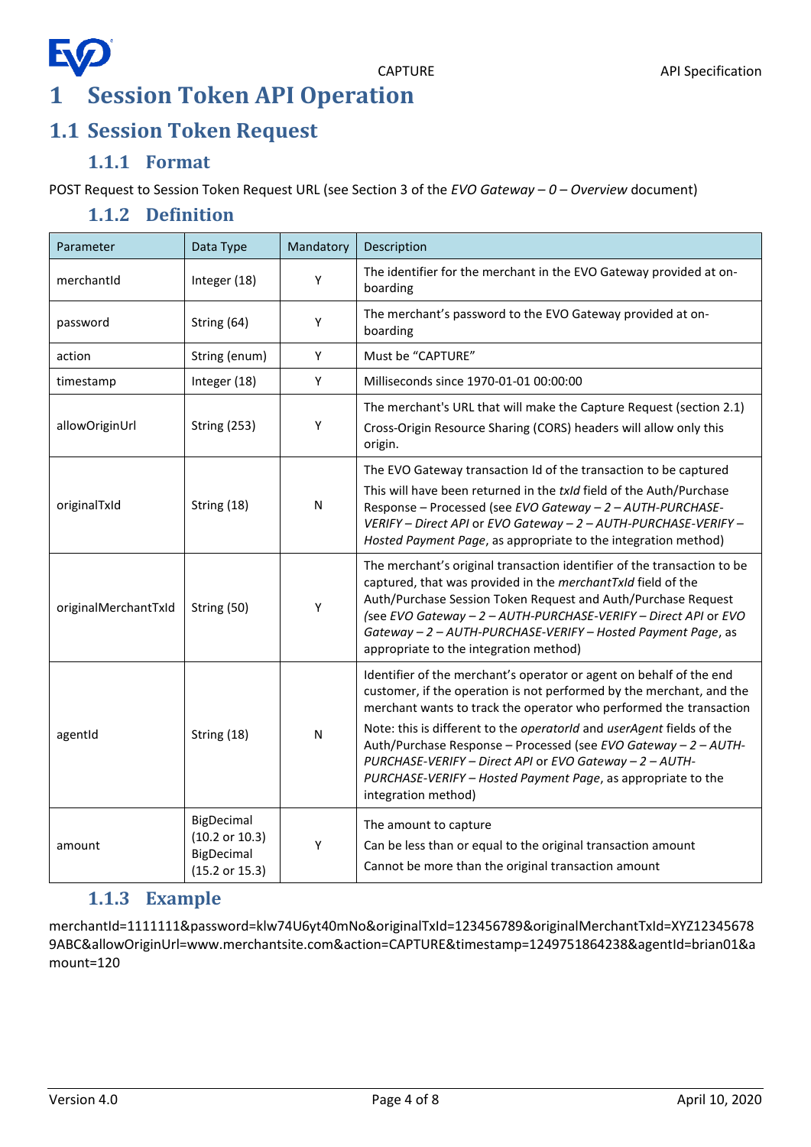## **EQ 1 Session Token API Operation**

### <span id="page-3-1"></span><span id="page-3-0"></span>**1.1 Session Token Request**

#### **1.1.1 Format**

<span id="page-3-3"></span><span id="page-3-2"></span>POST Request to Session Token Request URL (see Section 3 of the *EVO Gateway – 0 – Overview* document)

#### **1.1.2 Definition**

| Parameter            | Data Type                                                    | Mandatory | Description                                                                                                                                                                                                                                                                                                                                                                                                                                                                                                     |
|----------------------|--------------------------------------------------------------|-----------|-----------------------------------------------------------------------------------------------------------------------------------------------------------------------------------------------------------------------------------------------------------------------------------------------------------------------------------------------------------------------------------------------------------------------------------------------------------------------------------------------------------------|
| merchantId           | Integer (18)                                                 | Υ         | The identifier for the merchant in the EVO Gateway provided at on-<br>boarding                                                                                                                                                                                                                                                                                                                                                                                                                                  |
| password             | String (64)                                                  | Υ         | The merchant's password to the EVO Gateway provided at on-<br>boarding                                                                                                                                                                                                                                                                                                                                                                                                                                          |
| action               | String (enum)                                                | Υ         | Must be "CAPTURE"                                                                                                                                                                                                                                                                                                                                                                                                                                                                                               |
| timestamp            | Integer (18)                                                 | Y         | Milliseconds since 1970-01-01 00:00:00                                                                                                                                                                                                                                                                                                                                                                                                                                                                          |
| allowOriginUrl       | <b>String (253)</b>                                          | Υ         | The merchant's URL that will make the Capture Request (section 2.1)<br>Cross-Origin Resource Sharing (CORS) headers will allow only this<br>origin.                                                                                                                                                                                                                                                                                                                                                             |
| originalTxId         | String (18)                                                  | N         | The EVO Gateway transaction Id of the transaction to be captured<br>This will have been returned in the txld field of the Auth/Purchase<br>Response - Processed (see EVO Gateway - 2 - AUTH-PURCHASE-<br>VERIFY - Direct API or EVO Gateway - 2 - AUTH-PURCHASE-VERIFY -<br>Hosted Payment Page, as appropriate to the integration method)                                                                                                                                                                      |
| originalMerchantTxId | String (50)                                                  | Υ         | The merchant's original transaction identifier of the transaction to be<br>captured, that was provided in the merchantTxId field of the<br>Auth/Purchase Session Token Request and Auth/Purchase Request<br>(see EVO Gateway - 2 - AUTH-PURCHASE-VERIFY - Direct API or EVO<br>Gateway - 2 - AUTH-PURCHASE-VERIFY - Hosted Payment Page, as<br>appropriate to the integration method)                                                                                                                           |
| agentid              | String (18)                                                  | N         | Identifier of the merchant's operator or agent on behalf of the end<br>customer, if the operation is not performed by the merchant, and the<br>merchant wants to track the operator who performed the transaction<br>Note: this is different to the operatorId and userAgent fields of the<br>Auth/Purchase Response - Processed (see EVO Gateway - 2 - AUTH-<br>PURCHASE-VERIFY - Direct API or EVO Gateway - 2 - AUTH-<br>PURCHASE-VERIFY - Hosted Payment Page, as appropriate to the<br>integration method) |
| amount               | BigDecimal<br>(10.2 or 10.3)<br>BigDecimal<br>(15.2 or 15.3) | Υ         | The amount to capture<br>Can be less than or equal to the original transaction amount<br>Cannot be more than the original transaction amount                                                                                                                                                                                                                                                                                                                                                                    |

#### **1.1.3 Example**

<span id="page-3-4"></span>merchantId=1111111&password=klw74U6yt40mNo&originalTxId=123456789&originalMerchantTxId=XYZ12345678 9ABC&allowOriginUrl=www.merchantsite.com&action=CAPTURE&timestamp=1249751864238&agentId=brian01&a mount=120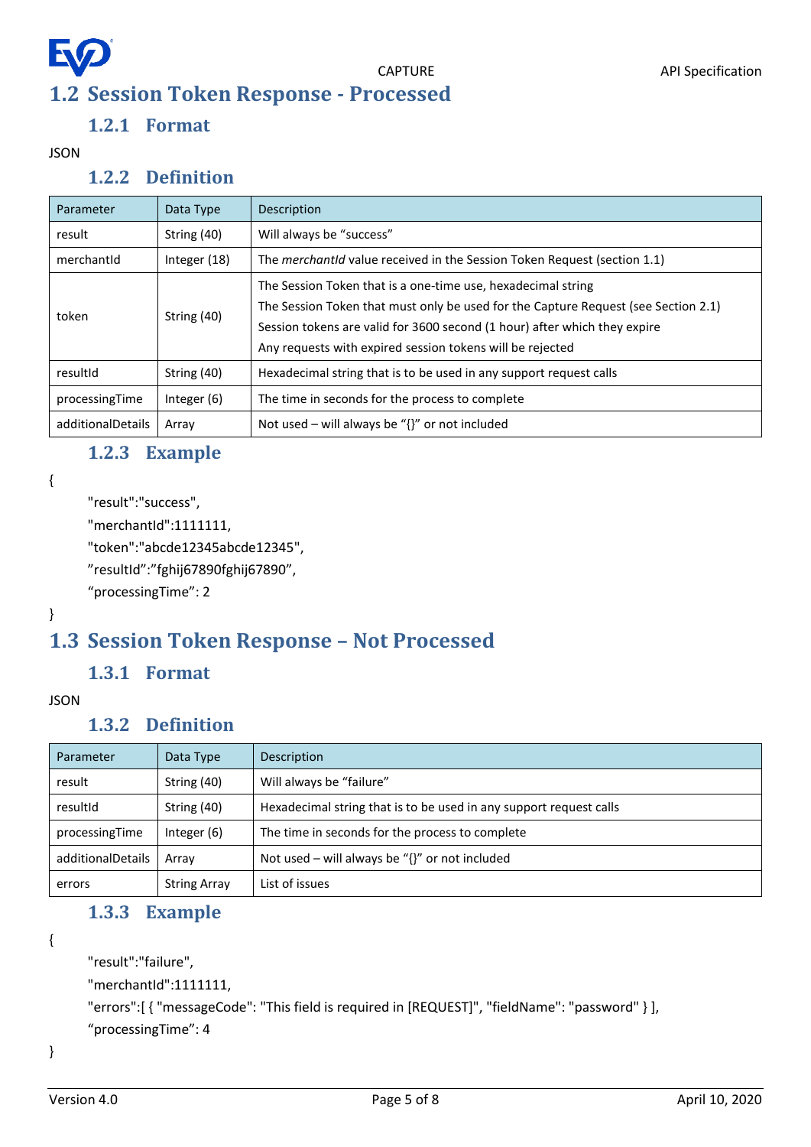# <span id="page-4-0"></span>**EQ 1.2 Session Token Response - Processed**

#### **1.2.1 Format**

<span id="page-4-2"></span><span id="page-4-1"></span>JSON

#### **1.2.2 Definition**

| Parameter         | Data Type     | Description                                                                                                                                                                                                                                                                                  |
|-------------------|---------------|----------------------------------------------------------------------------------------------------------------------------------------------------------------------------------------------------------------------------------------------------------------------------------------------|
| result            | String (40)   | Will always be "success"                                                                                                                                                                                                                                                                     |
| merchantid        | Integer (18)  | The <i>merchantid</i> value received in the Session Token Request (section 1.1)                                                                                                                                                                                                              |
| token             | String (40)   | The Session Token that is a one-time use, hexadecimal string<br>The Session Token that must only be used for the Capture Request (see Section 2.1)<br>Session tokens are valid for 3600 second (1 hour) after which they expire<br>Any requests with expired session tokens will be rejected |
| resultId          | String (40)   | Hexadecimal string that is to be used in any support request calls                                                                                                                                                                                                                           |
| processingTime    | Integer $(6)$ | The time in seconds for the process to complete                                                                                                                                                                                                                                              |
| additionalDetails | Array         | Not used – will always be " $\{$ " or not included                                                                                                                                                                                                                                           |

#### **1.2.3 Example**

```
{
```

```
"result":"success",
```

```
"merchantId":1111111,
```

```
"token":"abcde12345abcde12345",
```

```
"resultId":"fghij67890fghij67890",
```

```
"processingTime": 2
```
#### }

### <span id="page-4-4"></span>**1.3 Session Token Response – Not Processed**

#### **1.3.1 Format**

#### <span id="page-4-6"></span><span id="page-4-5"></span>JSON

#### **1.3.2 Definition**

| Parameter         | Data Type           | Description                                                        |
|-------------------|---------------------|--------------------------------------------------------------------|
| result            | String (40)         | Will always be "failure"                                           |
| resultId          | String (40)         | Hexadecimal string that is to be used in any support request calls |
| processingTime    | Integer $(6)$       | The time in seconds for the process to complete                    |
| additionalDetails | Array               | Not used – will always be " $\{$ " or not included                 |
| errors            | <b>String Array</b> | List of issues                                                     |

#### **1.3.3 Example**

<span id="page-4-7"></span>{

```
"result":"failure",
```

```
"merchantId":1111111,
```

```
"errors":[ { "messageCode": "This field is required in [REQUEST]", "fieldName": "password" } ],
```

```
"processingTime": 4
```
}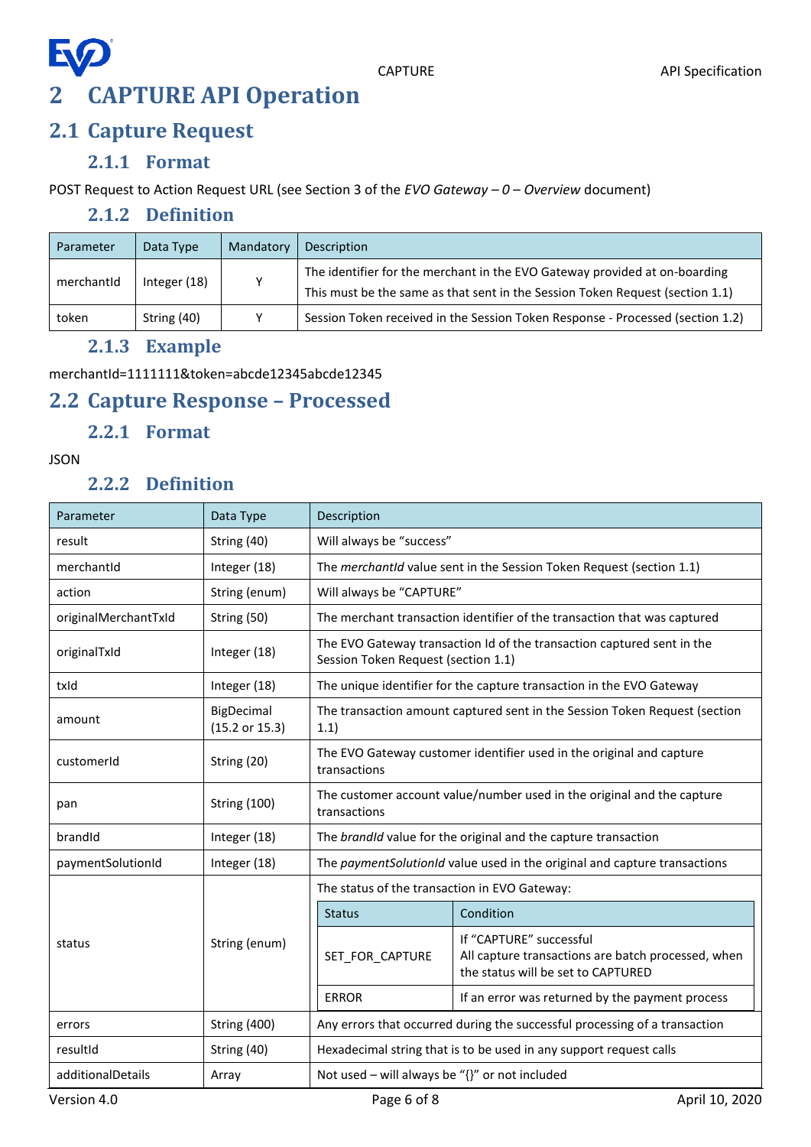### <span id="page-5-1"></span><span id="page-5-0"></span>**2.1 Capture Request**

#### **2.1.1 Format**

<span id="page-5-3"></span><span id="page-5-2"></span>POST Request to Action Request URL (see Section 3 of the *EVO Gateway – 0 – Overview* document)

#### **2.1.2 Definition**

| Parameter  | Data Type    | Mandatory | Description                                                                                                                                                 |
|------------|--------------|-----------|-------------------------------------------------------------------------------------------------------------------------------------------------------------|
| merchantid | Integer (18) | v         | The identifier for the merchant in the EVO Gateway provided at on-boarding<br>This must be the same as that sent in the Session Token Request (section 1.1) |
| token      | String (40)  | v         | Session Token received in the Session Token Response - Processed (section 1.2)                                                                              |

#### **2.1.3 Example**

<span id="page-5-4"></span>merchantId=1111111&token=abcde12345abcde12345

### <span id="page-5-5"></span>**2.2 Capture Response – Processed**

#### **2.2.1 Format**

#### <span id="page-5-7"></span><span id="page-5-6"></span>JSON

#### **2.2.2 Definition**

| Parameter            | Data Type                    | Description                                                                                                   |                                                                                                                     |  |  |
|----------------------|------------------------------|---------------------------------------------------------------------------------------------------------------|---------------------------------------------------------------------------------------------------------------------|--|--|
| result               | String (40)                  | Will always be "success"                                                                                      |                                                                                                                     |  |  |
| merchantId           | Integer (18)                 | The merchantid value sent in the Session Token Request (section 1.1)                                          |                                                                                                                     |  |  |
| action               | String (enum)                | Will always be "CAPTURE"                                                                                      |                                                                                                                     |  |  |
| originalMerchantTxId | String (50)                  |                                                                                                               | The merchant transaction identifier of the transaction that was captured                                            |  |  |
| originalTxId         | Integer (18)                 | The EVO Gateway transaction Id of the transaction captured sent in the<br>Session Token Request (section 1.1) |                                                                                                                     |  |  |
| txld                 | Integer (18)                 | The unique identifier for the capture transaction in the EVO Gateway                                          |                                                                                                                     |  |  |
| amount               | BigDecimal<br>(15.2 or 15.3) | The transaction amount captured sent in the Session Token Request (section<br>1.1)                            |                                                                                                                     |  |  |
| customerId           | String (20)                  | The EVO Gateway customer identifier used in the original and capture<br>transactions                          |                                                                                                                     |  |  |
| pan                  | <b>String (100)</b>          | The customer account value/number used in the original and the capture<br>transactions                        |                                                                                                                     |  |  |
| brandId              | Integer (18)                 |                                                                                                               | The brandId value for the original and the capture transaction                                                      |  |  |
| paymentSolutionId    | Integer (18)                 | The paymentSolutionId value used in the original and capture transactions                                     |                                                                                                                     |  |  |
|                      | String (enum)                | The status of the transaction in EVO Gateway:                                                                 |                                                                                                                     |  |  |
|                      |                              | <b>Status</b>                                                                                                 | Condition                                                                                                           |  |  |
| status               |                              | SET FOR CAPTURE                                                                                               | If "CAPTURE" successful<br>All capture transactions are batch processed, when<br>the status will be set to CAPTURED |  |  |
|                      |                              | <b>ERROR</b>                                                                                                  | If an error was returned by the payment process                                                                     |  |  |
| errors               | <b>String (400)</b>          | Any errors that occurred during the successful processing of a transaction                                    |                                                                                                                     |  |  |
| resultId             | String (40)                  | Hexadecimal string that is to be used in any support request calls                                            |                                                                                                                     |  |  |
| additionalDetails    | Array                        | Not used - will always be "{}" or not included                                                                |                                                                                                                     |  |  |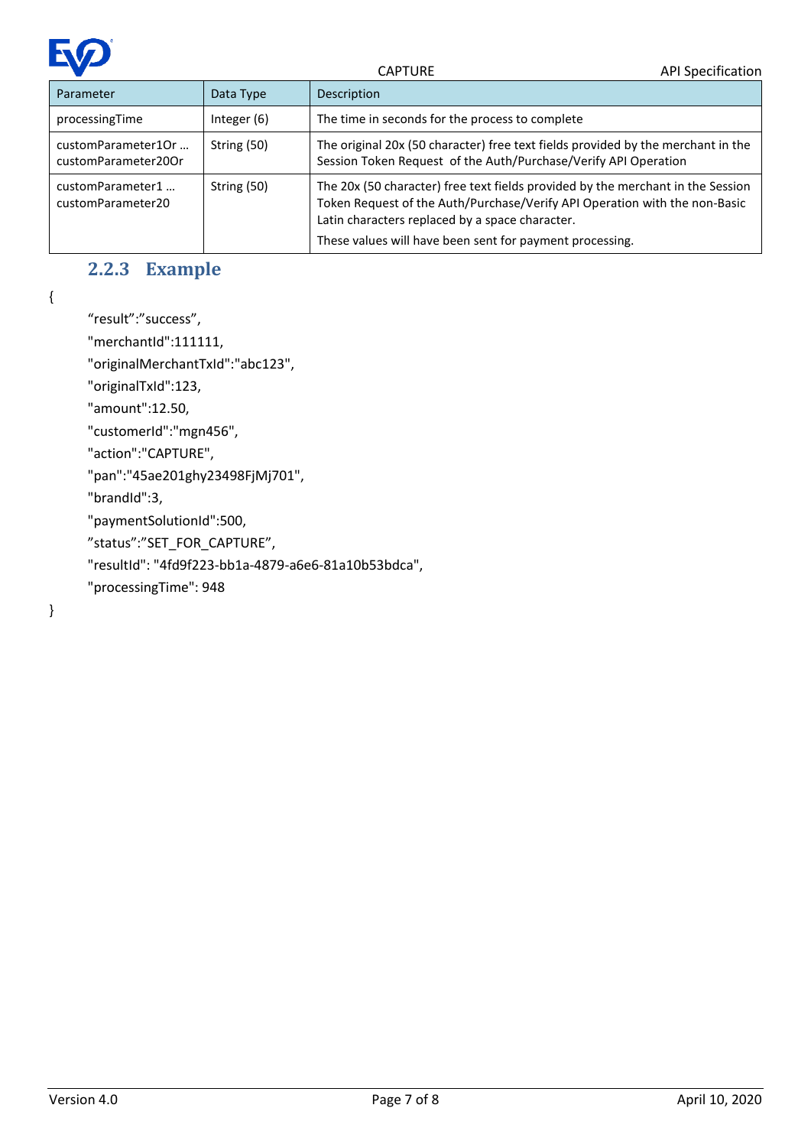

| Parameter                                 | Data Type     | Description                                                                                                                                                                                                                                                                  |
|-------------------------------------------|---------------|------------------------------------------------------------------------------------------------------------------------------------------------------------------------------------------------------------------------------------------------------------------------------|
| processingTime                            | Integer $(6)$ | The time in seconds for the process to complete                                                                                                                                                                                                                              |
| customParameter1Or<br>customParameter20Or | String (50)   | The original 20x (50 character) free text fields provided by the merchant in the<br>Session Token Request of the Auth/Purchase/Verify API Operation                                                                                                                          |
| customParameter1<br>customParameter20     | String (50)   | The 20x (50 character) free text fields provided by the merchant in the Session<br>Token Request of the Auth/Purchase/Verify API Operation with the non-Basic<br>Latin characters replaced by a space character.<br>These values will have been sent for payment processing. |

#### **2.2.3 Example**

<span id="page-6-0"></span>{

"result":"success",

"merchantId":111111,

"originalMerchantTxId":"abc123",

"originalTxId":123,

"amount":12.50,

"customerId":"mgn456",

"action":"CAPTURE",

"pan":"45ae201ghy23498FjMj701",

"brandId":3,

"paymentSolutionId":500,

"status":"SET\_FOR\_CAPTURE",

"resultId": "4fd9f223-bb1a-4879-a6e6-81a10b53bdca",

"processingTime": 948

}